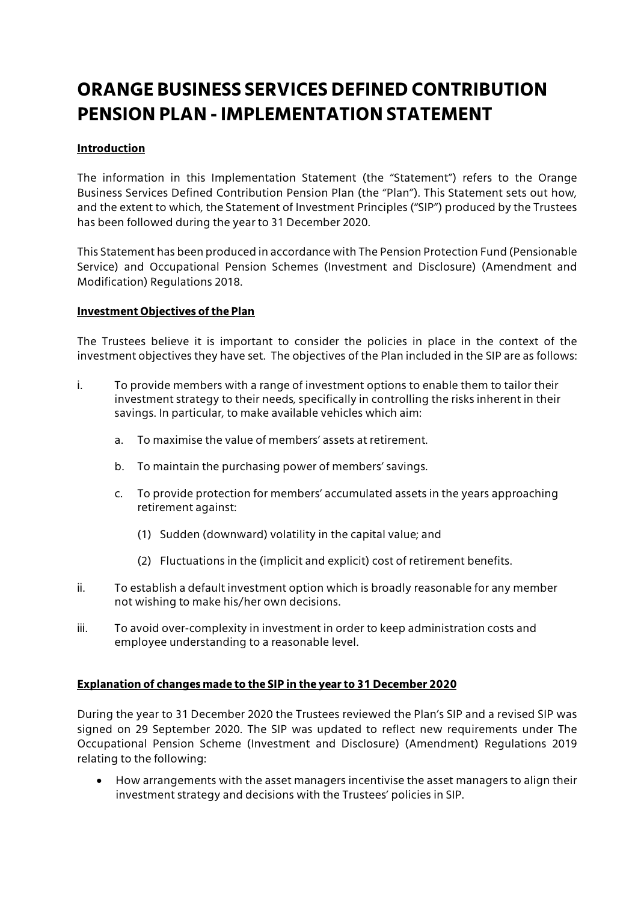# **ORANGE BUSINESS SERVICES DEFINED CONTRIBUTION PENSION PLAN - IMPLEMENTATION STATEMENT**

## **Introduction**

The information in this Implementation Statement (the "Statement") refers to the Orange Business Services Defined Contribution Pension Plan (the "Plan"). This Statement sets out how, and the extent to which, the Statement of Investment Principles ("SIP") produced by the Trustees has been followed during the year to 31 December 2020.

This Statement has been produced in accordance with The Pension Protection Fund (Pensionable Service) and Occupational Pension Schemes (Investment and Disclosure) (Amendment and Modification) Regulations 2018.

#### **Investment Objectives of the Plan**

The Trustees believe it is important to consider the policies in place in the context of the investment objectives they have set. The objectives of the Plan included in the SIP are as follows:

- i. To provide members with a range of investment options to enable them to tailor their investment strategy to their needs, specifically in controlling the risks inherent in their savings. In particular, to make available vehicles which aim:
	- a. To maximise the value of members' assets at retirement.
	- b. To maintain the purchasing power of members' savings.
	- c. To provide protection for members' accumulated assets in the years approaching retirement against:
		- (1) Sudden (downward) volatility in the capital value; and
		- (2) Fluctuations in the (implicit and explicit) cost of retirement benefits.
- ii. To establish a default investment option which is broadly reasonable for any member not wishing to make his/her own decisions.
- iii. To avoid over-complexity in investment in order to keep administration costs and employee understanding to a reasonable level.

## **Explanation of changes made to the SIP in the year to 31 December 2020**

During the year to 31 December 2020 the Trustees reviewed the Plan's SIP and a revised SIP was signed on 29 September 2020. The SIP was updated to reflect new requirements under The Occupational Pension Scheme (Investment and Disclosure) (Amendment) Regulations 2019 relating to the following:

 How arrangements with the asset managers incentivise the asset managers to align their investment strategy and decisions with the Trustees' policies in SIP.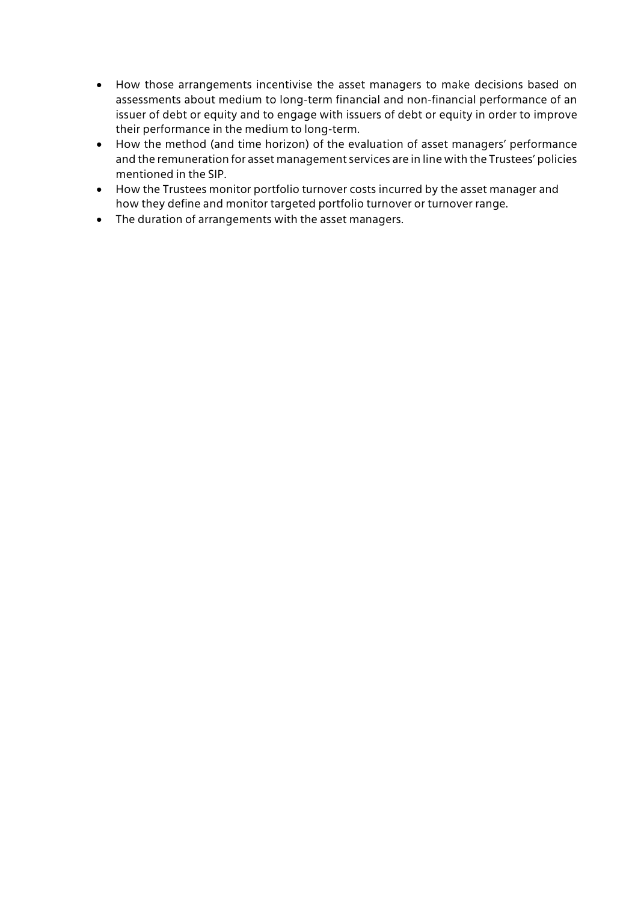- How those arrangements incentivise the asset managers to make decisions based on assessments about medium to long-term financial and non-financial performance of an issuer of debt or equity and to engage with issuers of debt or equity in order to improve their performance in the medium to long-term.
- How the method (and time horizon) of the evaluation of asset managers' performance and the remuneration for asset management services are in line with the Trustees' policies mentioned in the SIP.
- How the Trustees monitor portfolio turnover costs incurred by the asset manager and how they define and monitor targeted portfolio turnover or turnover range.
- The duration of arrangements with the asset managers.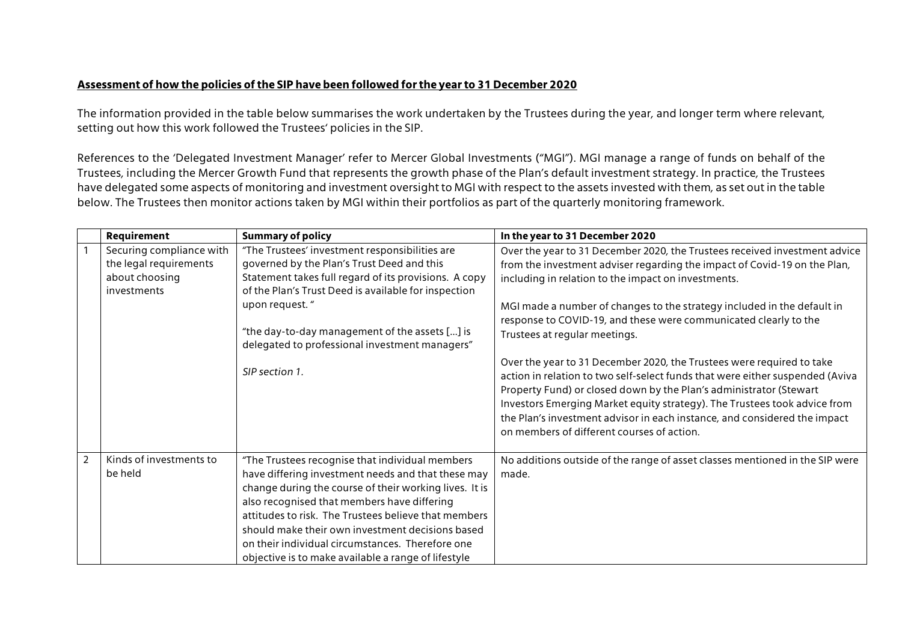#### **Assessment of how the policies of the SIP have been followed for the year to 31 December 2020**

The information provided in the table below summarises the work undertaken by the Trustees during the year, and longer term where relevant, setting out how this work followed the Trustees' policies in the SIP.

References to the 'Delegated Investment Manager' refer to Mercer Global Investments ("MGI"). MGI manage a range of funds on behalf of the Trustees, including the Mercer Growth Fund that represents the growth phase of the Plan's default investment strategy. In practice, the Trustees have delegated some aspects of monitoring and investment oversight to MGI with respect to the assets invested with them, as set out in the table below. The Trustees then monitor actions taken by MGI within their portfolios as part of the quarterly monitoring framework.

|   | Requirement                                                                         | <b>Summary of policy</b>                                                                                                                                                                                                                                                                                                                                                                                                              | In the year to 31 December 2020                                                                                                                                                                                                                                                                                                                                                                                                                                                                                                                                                                                                                                                                                                                                                                                                        |
|---|-------------------------------------------------------------------------------------|---------------------------------------------------------------------------------------------------------------------------------------------------------------------------------------------------------------------------------------------------------------------------------------------------------------------------------------------------------------------------------------------------------------------------------------|----------------------------------------------------------------------------------------------------------------------------------------------------------------------------------------------------------------------------------------------------------------------------------------------------------------------------------------------------------------------------------------------------------------------------------------------------------------------------------------------------------------------------------------------------------------------------------------------------------------------------------------------------------------------------------------------------------------------------------------------------------------------------------------------------------------------------------------|
|   | Securing compliance with<br>the legal requirements<br>about choosing<br>investments | "The Trustees' investment responsibilities are<br>governed by the Plan's Trust Deed and this<br>Statement takes full regard of its provisions. A copy<br>of the Plan's Trust Deed is available for inspection<br>upon request."<br>"the day-to-day management of the assets [] is<br>delegated to professional investment managers"<br>SIP section 1.                                                                                 | Over the year to 31 December 2020, the Trustees received investment advice<br>from the investment adviser regarding the impact of Covid-19 on the Plan,<br>including in relation to the impact on investments.<br>MGI made a number of changes to the strategy included in the default in<br>response to COVID-19, and these were communicated clearly to the<br>Trustees at regular meetings.<br>Over the year to 31 December 2020, the Trustees were required to take<br>action in relation to two self-select funds that were either suspended (Aviva<br>Property Fund) or closed down by the Plan's administrator (Stewart<br>Investors Emerging Market equity strategy). The Trustees took advice from<br>the Plan's investment advisor in each instance, and considered the impact<br>on members of different courses of action. |
| 2 | Kinds of investments to<br>be held                                                  | "The Trustees recognise that individual members<br>have differing investment needs and that these may<br>change during the course of their working lives. It is<br>also recognised that members have differing<br>attitudes to risk. The Trustees believe that members<br>should make their own investment decisions based<br>on their individual circumstances. Therefore one<br>objective is to make available a range of lifestyle | No additions outside of the range of asset classes mentioned in the SIP were<br>made.                                                                                                                                                                                                                                                                                                                                                                                                                                                                                                                                                                                                                                                                                                                                                  |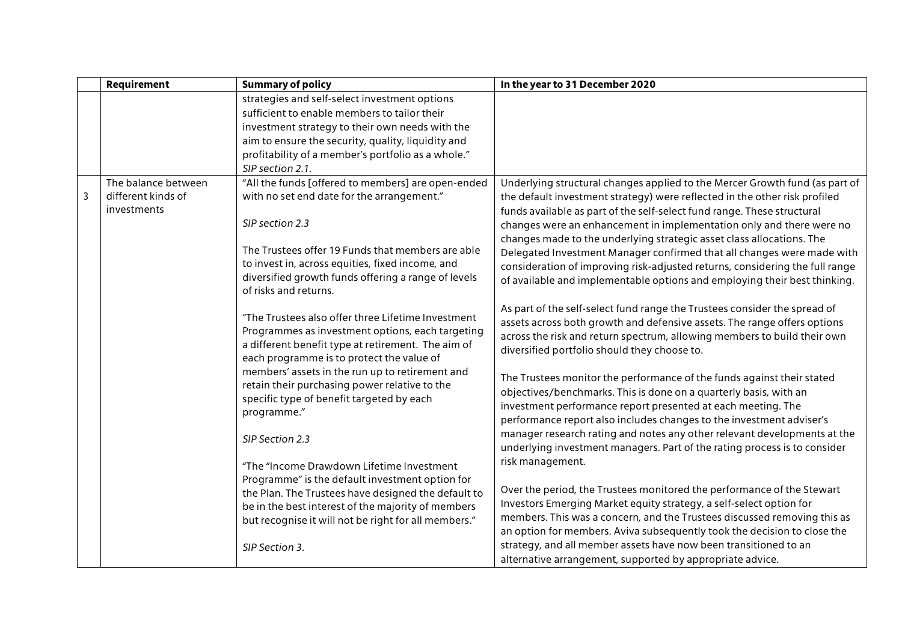|                | Requirement         | <b>Summary of policy</b>                                                                      | In the year to 31 December 2020                                              |
|----------------|---------------------|-----------------------------------------------------------------------------------------------|------------------------------------------------------------------------------|
|                |                     | strategies and self-select investment options<br>sufficient to enable members to tailor their |                                                                              |
|                |                     | investment strategy to their own needs with the                                               |                                                                              |
|                |                     | aim to ensure the security, quality, liquidity and                                            |                                                                              |
|                |                     | profitability of a member's portfolio as a whole."                                            |                                                                              |
|                |                     | SIP section 2.1.                                                                              |                                                                              |
|                | The balance between | "All the funds [offered to members] are open-ended                                            | Underlying structural changes applied to the Mercer Growth fund (as part of  |
| $\overline{3}$ | different kinds of  | with no set end date for the arrangement."                                                    | the default investment strategy) were reflected in the other risk profiled   |
|                | investments         |                                                                                               | funds available as part of the self-select fund range. These structural      |
|                |                     | SIP section 2.3                                                                               | changes were an enhancement in implementation only and there were no         |
|                |                     |                                                                                               | changes made to the underlying strategic asset class allocations. The        |
|                |                     | The Trustees offer 19 Funds that members are able                                             | Delegated Investment Manager confirmed that all changes were made with       |
|                |                     | to invest in, across equities, fixed income, and                                              | consideration of improving risk-adjusted returns, considering the full range |
|                |                     | diversified growth funds offering a range of levels                                           | of available and implementable options and employing their best thinking.    |
|                |                     | of risks and returns.                                                                         |                                                                              |
|                |                     |                                                                                               | As part of the self-select fund range the Trustees consider the spread of    |
|                |                     | "The Trustees also offer three Lifetime Investment                                            | assets across both growth and defensive assets. The range offers options     |
|                |                     | Programmes as investment options, each targeting                                              | across the risk and return spectrum, allowing members to build their own     |
|                |                     | a different benefit type at retirement. The aim of                                            | diversified portfolio should they choose to.                                 |
|                |                     | each programme is to protect the value of                                                     |                                                                              |
|                |                     | members' assets in the run up to retirement and                                               | The Trustees monitor the performance of the funds against their stated       |
|                |                     | retain their purchasing power relative to the<br>specific type of benefit targeted by each    | objectives/benchmarks. This is done on a quarterly basis, with an            |
|                |                     | programme."                                                                                   | investment performance report presented at each meeting. The                 |
|                |                     |                                                                                               | performance report also includes changes to the investment adviser's         |
|                |                     | SIP Section 2.3                                                                               | manager research rating and notes any other relevant developments at the     |
|                |                     |                                                                                               | underlying investment managers. Part of the rating process is to consider    |
|                |                     | "The "Income Drawdown Lifetime Investment                                                     | risk management.                                                             |
|                |                     | Programme" is the default investment option for                                               |                                                                              |
|                |                     | the Plan. The Trustees have designed the default to                                           | Over the period, the Trustees monitored the performance of the Stewart       |
|                |                     | be in the best interest of the majority of members                                            | Investors Emerging Market equity strategy, a self-select option for          |
|                |                     | but recognise it will not be right for all members."                                          | members. This was a concern, and the Trustees discussed removing this as     |
|                |                     |                                                                                               | an option for members. Aviva subsequently took the decision to close the     |
|                |                     | SIP Section 3.                                                                                | strategy, and all member assets have now been transitioned to an             |
|                |                     |                                                                                               | alternative arrangement, supported by appropriate advice.                    |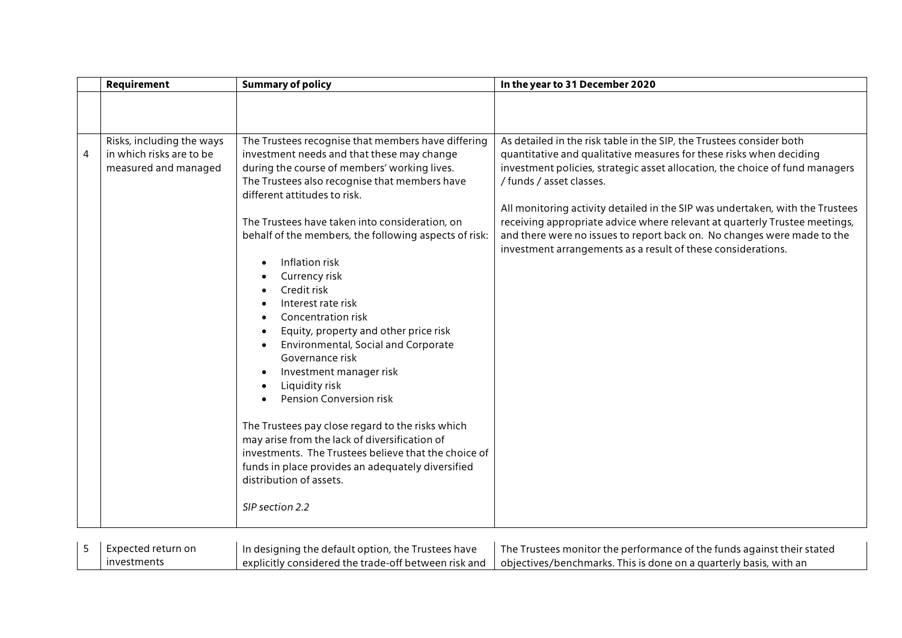|   | Requirement                                                                   | <b>Summary of policy</b>                                                                                                                                                                                                                                                                                                                                                                                                                                                                                                                                                                                                                                                                                                                                                                                                                                                              | In the year to 31 December 2020                                                                                                                                                                                                                                                                                                                                                                                                                                                                                                                                   |
|---|-------------------------------------------------------------------------------|---------------------------------------------------------------------------------------------------------------------------------------------------------------------------------------------------------------------------------------------------------------------------------------------------------------------------------------------------------------------------------------------------------------------------------------------------------------------------------------------------------------------------------------------------------------------------------------------------------------------------------------------------------------------------------------------------------------------------------------------------------------------------------------------------------------------------------------------------------------------------------------|-------------------------------------------------------------------------------------------------------------------------------------------------------------------------------------------------------------------------------------------------------------------------------------------------------------------------------------------------------------------------------------------------------------------------------------------------------------------------------------------------------------------------------------------------------------------|
|   |                                                                               |                                                                                                                                                                                                                                                                                                                                                                                                                                                                                                                                                                                                                                                                                                                                                                                                                                                                                       |                                                                                                                                                                                                                                                                                                                                                                                                                                                                                                                                                                   |
| 4 | Risks, including the ways<br>in which risks are to be<br>measured and managed | The Trustees recognise that members have differing<br>investment needs and that these may change<br>during the course of members' working lives.<br>The Trustees also recognise that members have<br>different attitudes to risk.<br>The Trustees have taken into consideration, on<br>behalf of the members, the following aspects of risk:<br>Inflation risk<br>Currency risk<br>Credit risk<br>Interest rate risk<br>Concentration risk<br>Equity, property and other price risk<br>Environmental, Social and Corporate<br>Governance risk<br>Investment manager risk<br>Liquidity risk<br>Pension Conversion risk<br>The Trustees pay close regard to the risks which<br>may arise from the lack of diversification of<br>investments. The Trustees believe that the choice of<br>funds in place provides an adequately diversified<br>distribution of assets.<br>SIP section 2.2 | As detailed in the risk table in the SIP, the Trustees consider both<br>quantitative and qualitative measures for these risks when deciding<br>investment policies, strategic asset allocation, the choice of fund managers<br>/ funds / asset classes.<br>All monitoring activity detailed in the SIP was undertaken, with the Trustees<br>receiving appropriate advice where relevant at quarterly Trustee meetings,<br>and there were no issues to report back on. No changes were made to the<br>investment arrangements as a result of these considerations. |
| 5 | Expected return on                                                            | In designing the default option, the Trustees have                                                                                                                                                                                                                                                                                                                                                                                                                                                                                                                                                                                                                                                                                                                                                                                                                                    | The Trustees monitor the performance of the funds against their stated                                                                                                                                                                                                                                                                                                                                                                                                                                                                                            |

objectives/benchmarks. This is done on a quarterly basis, with an

explicitly considered the trade-off between risk and

investments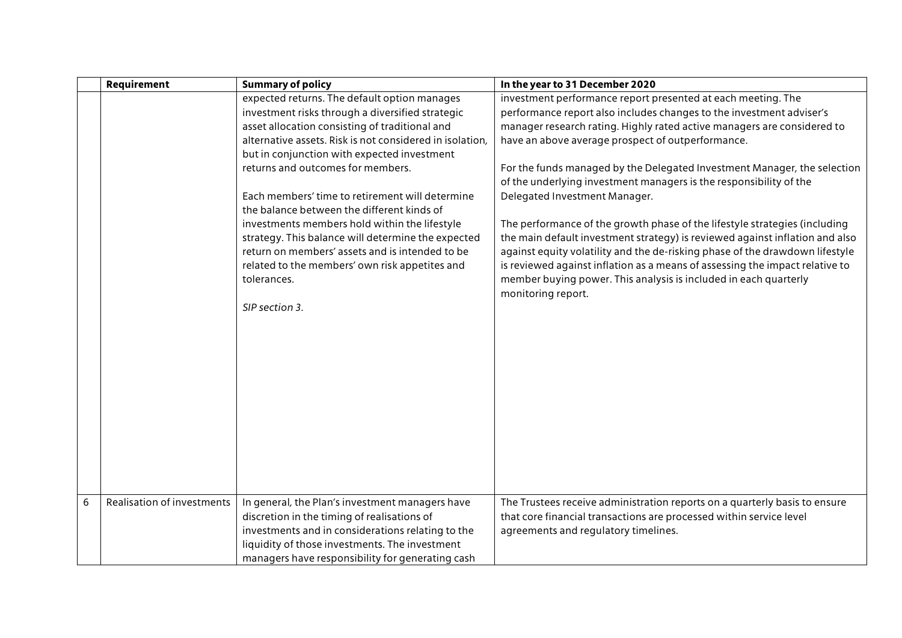|   | Requirement                | <b>Summary of policy</b>                                 | In the year to 31 December 2020                                              |
|---|----------------------------|----------------------------------------------------------|------------------------------------------------------------------------------|
|   |                            | expected returns. The default option manages             | investment performance report presented at each meeting. The                 |
|   |                            | investment risks through a diversified strategic         | performance report also includes changes to the investment adviser's         |
|   |                            | asset allocation consisting of traditional and           | manager research rating. Highly rated active managers are considered to      |
|   |                            | alternative assets. Risk is not considered in isolation, | have an above average prospect of outperformance.                            |
|   |                            | but in conjunction with expected investment              |                                                                              |
|   |                            | returns and outcomes for members.                        | For the funds managed by the Delegated Investment Manager, the selection     |
|   |                            |                                                          | of the underlying investment managers is the responsibility of the           |
|   |                            | Each members' time to retirement will determine          | Delegated Investment Manager.                                                |
|   |                            | the balance between the different kinds of               |                                                                              |
|   |                            | investments members hold within the lifestyle            | The performance of the growth phase of the lifestyle strategies (including   |
|   |                            | strategy. This balance will determine the expected       | the main default investment strategy) is reviewed against inflation and also |
|   |                            | return on members' assets and is intended to be          | against equity volatility and the de-risking phase of the drawdown lifestyle |
|   |                            | related to the members' own risk appetites and           | is reviewed against inflation as a means of assessing the impact relative to |
|   |                            | tolerances.                                              | member buying power. This analysis is included in each quarterly             |
|   |                            |                                                          | monitoring report.                                                           |
|   |                            | SIP section 3.                                           |                                                                              |
|   |                            |                                                          |                                                                              |
|   |                            |                                                          |                                                                              |
|   |                            |                                                          |                                                                              |
|   |                            |                                                          |                                                                              |
|   |                            |                                                          |                                                                              |
|   |                            |                                                          |                                                                              |
|   |                            |                                                          |                                                                              |
|   |                            |                                                          |                                                                              |
|   |                            |                                                          |                                                                              |
|   |                            |                                                          |                                                                              |
|   |                            |                                                          |                                                                              |
|   |                            |                                                          |                                                                              |
|   |                            |                                                          |                                                                              |
| 6 | Realisation of investments | In general, the Plan's investment managers have          | The Trustees receive administration reports on a quarterly basis to ensure   |
|   |                            | discretion in the timing of realisations of              | that core financial transactions are processed within service level          |
|   |                            | investments and in considerations relating to the        | agreements and regulatory timelines.                                         |
|   |                            | liquidity of those investments. The investment           |                                                                              |
|   |                            | managers have responsibility for generating cash         |                                                                              |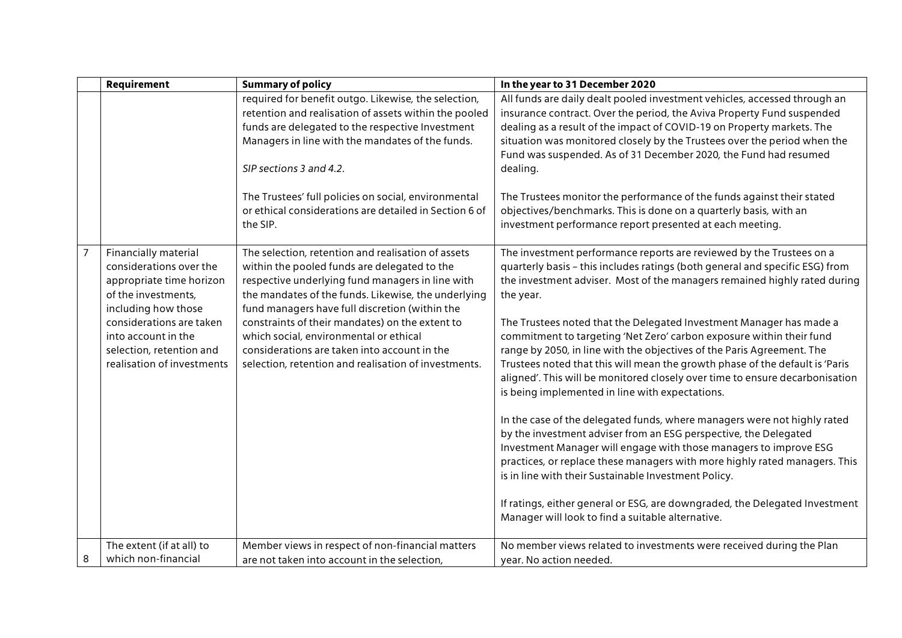|                | Requirement                                                                                                               | <b>Summary of policy</b>                                                                                                                                                                                                                                        | In the year to 31 December 2020                                                                                                                                                                                                                                                                                                                                                                                                          |
|----------------|---------------------------------------------------------------------------------------------------------------------------|-----------------------------------------------------------------------------------------------------------------------------------------------------------------------------------------------------------------------------------------------------------------|------------------------------------------------------------------------------------------------------------------------------------------------------------------------------------------------------------------------------------------------------------------------------------------------------------------------------------------------------------------------------------------------------------------------------------------|
|                |                                                                                                                           | required for benefit outgo. Likewise, the selection,<br>retention and realisation of assets within the pooled<br>funds are delegated to the respective Investment<br>Managers in line with the mandates of the funds.<br>SIP sections 3 and 4.2.                | All funds are daily dealt pooled investment vehicles, accessed through an<br>insurance contract. Over the period, the Aviva Property Fund suspended<br>dealing as a result of the impact of COVID-19 on Property markets. The<br>situation was monitored closely by the Trustees over the period when the<br>Fund was suspended. As of 31 December 2020, the Fund had resumed<br>dealing.                                                |
|                |                                                                                                                           | The Trustees' full policies on social, environmental<br>or ethical considerations are detailed in Section 6 of<br>the SIP.                                                                                                                                      | The Trustees monitor the performance of the funds against their stated<br>objectives/benchmarks. This is done on a quarterly basis, with an<br>investment performance report presented at each meeting.                                                                                                                                                                                                                                  |
| $\overline{7}$ | Financially material<br>considerations over the<br>appropriate time horizon<br>of the investments,<br>including how those | The selection, retention and realisation of assets<br>within the pooled funds are delegated to the<br>respective underlying fund managers in line with<br>the mandates of the funds. Likewise, the underlying<br>fund managers have full discretion (within the | The investment performance reports are reviewed by the Trustees on a<br>quarterly basis - this includes ratings (both general and specific ESG) from<br>the investment adviser. Most of the managers remained highly rated during<br>the year.                                                                                                                                                                                           |
|                | considerations are taken<br>into account in the<br>selection, retention and<br>realisation of investments                 | constraints of their mandates) on the extent to<br>which social, environmental or ethical<br>considerations are taken into account in the<br>selection, retention and realisation of investments.                                                               | The Trustees noted that the Delegated Investment Manager has made a<br>commitment to targeting 'Net Zero' carbon exposure within their fund<br>range by 2050, in line with the objectives of the Paris Agreement. The<br>Trustees noted that this will mean the growth phase of the default is 'Paris<br>aligned'. This will be monitored closely over time to ensure decarbonisation<br>is being implemented in line with expectations. |
|                |                                                                                                                           |                                                                                                                                                                                                                                                                 | In the case of the delegated funds, where managers were not highly rated<br>by the investment adviser from an ESG perspective, the Delegated<br>Investment Manager will engage with those managers to improve ESG<br>practices, or replace these managers with more highly rated managers. This<br>is in line with their Sustainable Investment Policy.                                                                                  |
|                |                                                                                                                           |                                                                                                                                                                                                                                                                 | If ratings, either general or ESG, are downgraded, the Delegated Investment<br>Manager will look to find a suitable alternative.                                                                                                                                                                                                                                                                                                         |
| 8              | The extent (if at all) to<br>which non-financial                                                                          | Member views in respect of non-financial matters<br>are not taken into account in the selection,                                                                                                                                                                | No member views related to investments were received during the Plan<br>year. No action needed.                                                                                                                                                                                                                                                                                                                                          |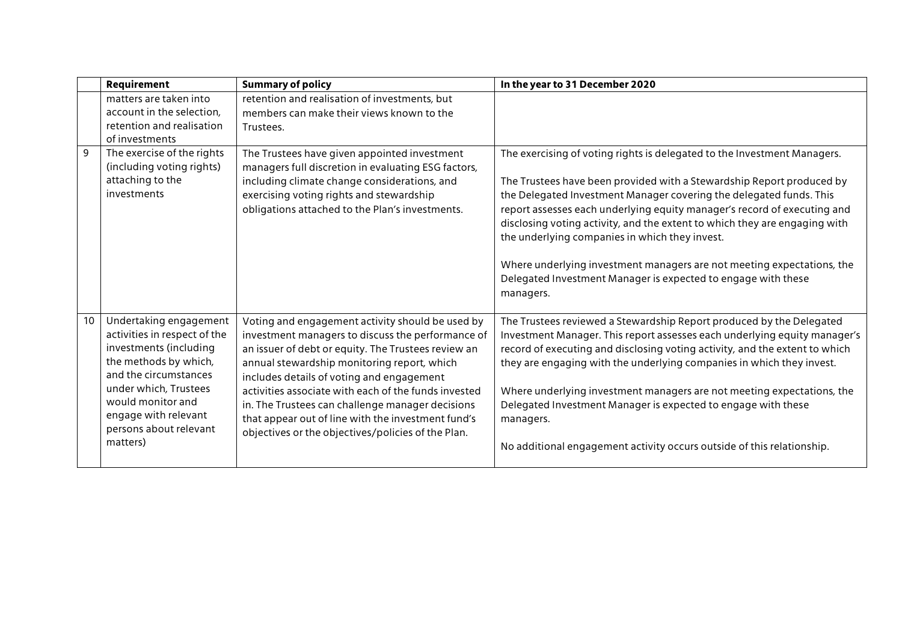|    | Requirement                                                                                                                                                                                                                                    | <b>Summary of policy</b>                                                                                                                                                                                                                                                                                                                                                                                                                                                         | In the year to 31 December 2020                                                                                                                                                                                                                                                                                                                                                                                                                                                                                                                                                              |
|----|------------------------------------------------------------------------------------------------------------------------------------------------------------------------------------------------------------------------------------------------|----------------------------------------------------------------------------------------------------------------------------------------------------------------------------------------------------------------------------------------------------------------------------------------------------------------------------------------------------------------------------------------------------------------------------------------------------------------------------------|----------------------------------------------------------------------------------------------------------------------------------------------------------------------------------------------------------------------------------------------------------------------------------------------------------------------------------------------------------------------------------------------------------------------------------------------------------------------------------------------------------------------------------------------------------------------------------------------|
|    | matters are taken into<br>account in the selection,<br>retention and realisation<br>of investments                                                                                                                                             | retention and realisation of investments, but<br>members can make their views known to the<br>Trustees.                                                                                                                                                                                                                                                                                                                                                                          |                                                                                                                                                                                                                                                                                                                                                                                                                                                                                                                                                                                              |
| 9  | The exercise of the rights<br>(including voting rights)<br>attaching to the<br>investments                                                                                                                                                     | The Trustees have given appointed investment<br>managers full discretion in evaluating ESG factors,<br>including climate change considerations, and<br>exercising voting rights and stewardship<br>obligations attached to the Plan's investments.                                                                                                                                                                                                                               | The exercising of voting rights is delegated to the Investment Managers.<br>The Trustees have been provided with a Stewardship Report produced by<br>the Delegated Investment Manager covering the delegated funds. This<br>report assesses each underlying equity manager's record of executing and<br>disclosing voting activity, and the extent to which they are engaging with<br>the underlying companies in which they invest.<br>Where underlying investment managers are not meeting expectations, the<br>Delegated Investment Manager is expected to engage with these<br>managers. |
| 10 | Undertaking engagement<br>activities in respect of the<br>investments (including<br>the methods by which,<br>and the circumstances<br>under which, Trustees<br>would monitor and<br>engage with relevant<br>persons about relevant<br>matters) | Voting and engagement activity should be used by<br>investment managers to discuss the performance of<br>an issuer of debt or equity. The Trustees review an<br>annual stewardship monitoring report, which<br>includes details of voting and engagement<br>activities associate with each of the funds invested<br>in. The Trustees can challenge manager decisions<br>that appear out of line with the investment fund's<br>objectives or the objectives/policies of the Plan. | The Trustees reviewed a Stewardship Report produced by the Delegated<br>Investment Manager. This report assesses each underlying equity manager's<br>record of executing and disclosing voting activity, and the extent to which<br>they are engaging with the underlying companies in which they invest.<br>Where underlying investment managers are not meeting expectations, the<br>Delegated Investment Manager is expected to engage with these<br>managers.<br>No additional engagement activity occurs outside of this relationship.                                                  |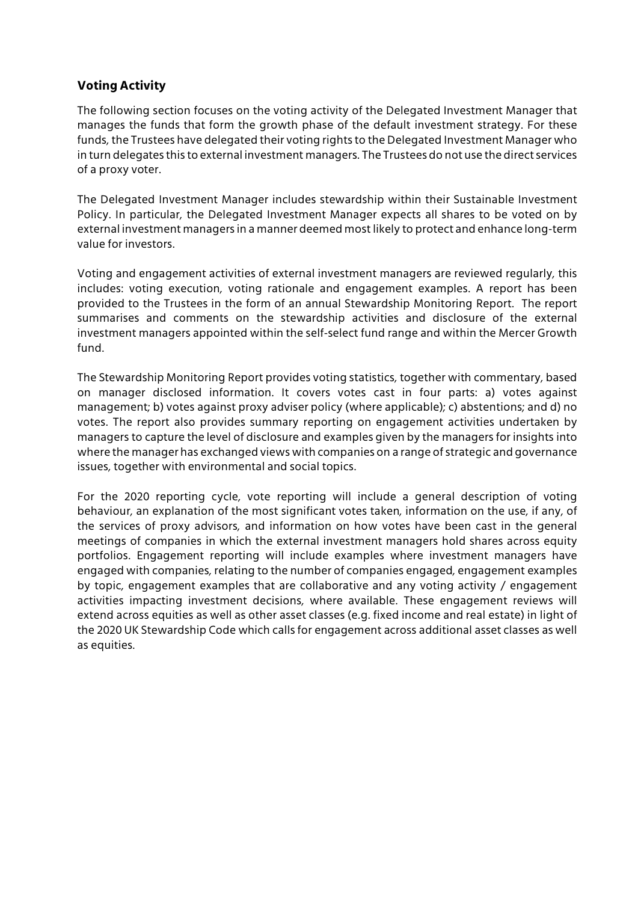## **Voting Activity**

The following section focuses on the voting activity of the Delegated Investment Manager that manages the funds that form the growth phase of the default investment strategy. For these funds, the Trustees have delegated their voting rights to the Delegated Investment Manager who in turn delegates this to external investment managers. The Trustees do not use the direct services of a proxy voter.

The Delegated Investment Manager includes stewardship within their Sustainable Investment Policy. In particular, the Delegated Investment Manager expects all shares to be voted on by external investment managers in a manner deemed most likely to protect and enhance long-term value for investors.

Voting and engagement activities of external investment managers are reviewed regularly, this includes: voting execution, voting rationale and engagement examples. A report has been provided to the Trustees in the form of an annual Stewardship Monitoring Report. The report summarises and comments on the stewardship activities and disclosure of the external investment managers appointed within the self-select fund range and within the Mercer Growth fund.

The Stewardship Monitoring Report provides voting statistics, together with commentary, based on manager disclosed information. It covers votes cast in four parts: a) votes against management; b) votes against proxy adviser policy (where applicable); c) abstentions; and d) no votes. The report also provides summary reporting on engagement activities undertaken by managers to capture the level of disclosure and examples given by the managers for insights into where the manager has exchanged views with companies on a range of strategic and governance issues, together with environmental and social topics.

For the 2020 reporting cycle, vote reporting will include a general description of voting behaviour, an explanation of the most significant votes taken, information on the use, if any, of the services of proxy advisors, and information on how votes have been cast in the general meetings of companies in which the external investment managers hold shares across equity portfolios. Engagement reporting will include examples where investment managers have engaged with companies, relating to the number of companies engaged, engagement examples by topic, engagement examples that are collaborative and any voting activity / engagement activities impacting investment decisions, where available. These engagement reviews will extend across equities as well as other asset classes (e.g. fixed income and real estate) in light of the 2020 UK Stewardship Code which calls for engagement across additional asset classes as well as equities.